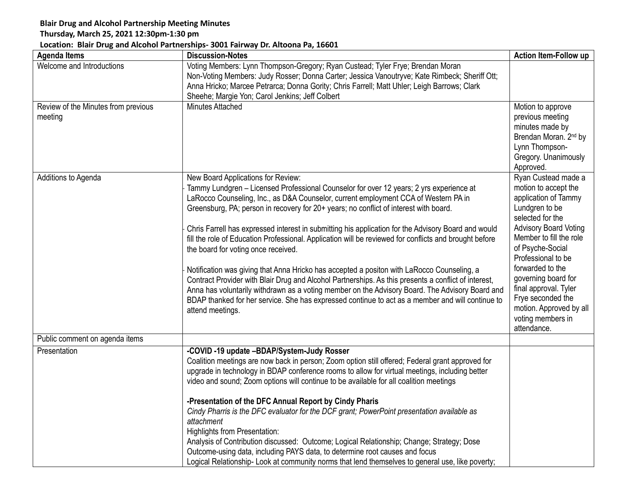## **Blair Drug and Alcohol Partnership Meeting Minutes**

## **Thursday, March 25, 2021 12:30pm-1:30 pm**

## **Location: Blair Drug and Alcohol Partnerships- 3001 Fairway Dr. Altoona Pa, 16601**

| <b>Agenda Items</b>                            | <b>Discussion-Notes</b>                                                                                                                                                                                                                                                                                                                                                                                                                                                                                                                                                                                                                                                                                                                                                                                                                                                                                                                                                                                | <b>Action Item-Follow up</b>                                                                                                                                                                                                                                                                                                                                           |
|------------------------------------------------|--------------------------------------------------------------------------------------------------------------------------------------------------------------------------------------------------------------------------------------------------------------------------------------------------------------------------------------------------------------------------------------------------------------------------------------------------------------------------------------------------------------------------------------------------------------------------------------------------------------------------------------------------------------------------------------------------------------------------------------------------------------------------------------------------------------------------------------------------------------------------------------------------------------------------------------------------------------------------------------------------------|------------------------------------------------------------------------------------------------------------------------------------------------------------------------------------------------------------------------------------------------------------------------------------------------------------------------------------------------------------------------|
| Welcome and Introductions                      | Voting Members: Lynn Thompson-Gregory; Ryan Custead; Tyler Frye; Brendan Moran<br>Non-Voting Members: Judy Rosser; Donna Carter; Jessica Vanoutryve; Kate Rimbeck; Sheriff Ott;<br>Anna Hricko; Marcee Petrarca; Donna Gority; Chris Farrell; Matt Uhler; Leigh Barrows; Clark<br>Sheehe; Margie Yon; Carol Jenkins; Jeff Colbert                                                                                                                                                                                                                                                                                                                                                                                                                                                                                                                                                                                                                                                                      |                                                                                                                                                                                                                                                                                                                                                                        |
| Review of the Minutes from previous<br>meeting | <b>Minutes Attached</b>                                                                                                                                                                                                                                                                                                                                                                                                                                                                                                                                                                                                                                                                                                                                                                                                                                                                                                                                                                                | Motion to approve<br>previous meeting<br>minutes made by<br>Brendan Moran. 2 <sup>nd</sup> by<br>Lynn Thompson-<br>Gregory. Unanimously<br>Approved.                                                                                                                                                                                                                   |
| Additions to Agenda                            | New Board Applications for Review:<br>Tammy Lundgren - Licensed Professional Counselor for over 12 years; 2 yrs experience at<br>LaRocco Counseling, Inc., as D&A Counselor, current employment CCA of Western PA in<br>Greensburg, PA; person in recovery for 20+ years; no conflict of interest with board.<br>Chris Farrell has expressed interest in submitting his application for the Advisory Board and would<br>fill the role of Education Professional. Application will be reviewed for conflicts and brought before<br>the board for voting once received.<br>Notification was giving that Anna Hricko has accepted a positon with LaRocco Counseling, a<br>Contract Provider with Blair Drug and Alcohol Partnerships. As this presents a conflict of interest,<br>Anna has voluntarily withdrawn as a voting member on the Advisory Board. The Advisory Board and<br>BDAP thanked for her service. She has expressed continue to act as a member and will continue to<br>attend meetings. | Ryan Custead made a<br>motion to accept the<br>application of Tammy<br>Lundgren to be<br>selected for the<br><b>Advisory Board Voting</b><br>Member to fill the role<br>of Psyche-Social<br>Professional to be<br>forwarded to the<br>governing board for<br>final approval. Tyler<br>Frye seconded the<br>motion. Approved by all<br>voting members in<br>attendance. |
| Public comment on agenda items                 |                                                                                                                                                                                                                                                                                                                                                                                                                                                                                                                                                                                                                                                                                                                                                                                                                                                                                                                                                                                                        |                                                                                                                                                                                                                                                                                                                                                                        |
| Presentation                                   | -COVID -19 update -BDAP/System-Judy Rosser<br>Coalition meetings are now back in person; Zoom option still offered; Federal grant approved for<br>upgrade in technology in BDAP conference rooms to allow for virtual meetings, including better<br>video and sound; Zoom options will continue to be available for all coalition meetings<br>-Presentation of the DFC Annual Report by Cindy Pharis<br>Cindy Pharris is the DFC evaluator for the DCF grant; PowerPoint presentation available as<br>attachment<br><b>Highlights from Presentation:</b><br>Analysis of Contribution discussed: Outcome; Logical Relationship; Change; Strategy; Dose<br>Outcome-using data, including PAYS data, to determine root causes and focus<br>Logical Relationship- Look at community norms that lend themselves to general use, like poverty;                                                                                                                                                               |                                                                                                                                                                                                                                                                                                                                                                        |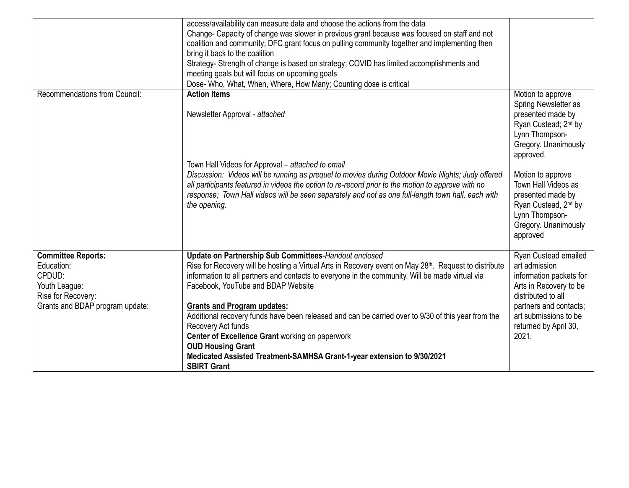|                                                                                                                             | access/availability can measure data and choose the actions from the data<br>Change- Capacity of change was slower in previous grant because was focused on staff and not<br>coalition and community; DFC grant focus on pulling community together and implementing then<br>bring it back to the coalition<br>Strategy- Strength of change is based on strategy; COVID has limited accomplishments and<br>meeting goals but will focus on upcoming goals<br>Dose- Who, What, When, Where, How Many; Counting dose is critical                                                                                                                                         |                                                                                                                                                                                                                                                                                                                      |
|-----------------------------------------------------------------------------------------------------------------------------|------------------------------------------------------------------------------------------------------------------------------------------------------------------------------------------------------------------------------------------------------------------------------------------------------------------------------------------------------------------------------------------------------------------------------------------------------------------------------------------------------------------------------------------------------------------------------------------------------------------------------------------------------------------------|----------------------------------------------------------------------------------------------------------------------------------------------------------------------------------------------------------------------------------------------------------------------------------------------------------------------|
| <b>Recommendations from Council:</b>                                                                                        | <b>Action Items</b><br>Newsletter Approval - attached<br>Town Hall Videos for Approval - attached to email<br>Discussion: Videos will be running as prequel to movies during Outdoor Movie Nights; Judy offered<br>all participants featured in videos the option to re-record prior to the motion to approve with no<br>response; Town Hall videos will be seen separately and not as one full-length town hall, each with<br>the opening.                                                                                                                                                                                                                            | Motion to approve<br>Spring Newsletter as<br>presented made by<br>Ryan Custead; 2 <sup>nd</sup> by<br>Lynn Thompson-<br>Gregory. Unanimously<br>approved.<br>Motion to approve<br>Town Hall Videos as<br>presented made by<br>Ryan Custead, 2 <sup>nd</sup> by<br>Lynn Thompson-<br>Gregory. Unanimously<br>approved |
| <b>Committee Reports:</b><br>Education:<br>CPDUD:<br>Youth League:<br>Rise for Recovery:<br>Grants and BDAP program update: | Update on Partnership Sub Committees-Handout enclosed<br>Rise for Recovery will be hosting a Virtual Arts in Recovery event on May 28 <sup>th</sup> . Request to distribute<br>information to all partners and contacts to everyone in the community. Will be made virtual via<br>Facebook, YouTube and BDAP Website<br><b>Grants and Program updates:</b><br>Additional recovery funds have been released and can be carried over to 9/30 of this year from the<br>Recovery Act funds<br>Center of Excellence Grant working on paperwork<br><b>OUD Housing Grant</b><br>Medicated Assisted Treatment-SAMHSA Grant-1-year extension to 9/30/2021<br><b>SBIRT Grant</b> | Ryan Custead emailed<br>art admission<br>information packets for<br>Arts in Recovery to be<br>distributed to all<br>partners and contacts;<br>art submissions to be<br>returned by April 30,<br>2021.                                                                                                                |